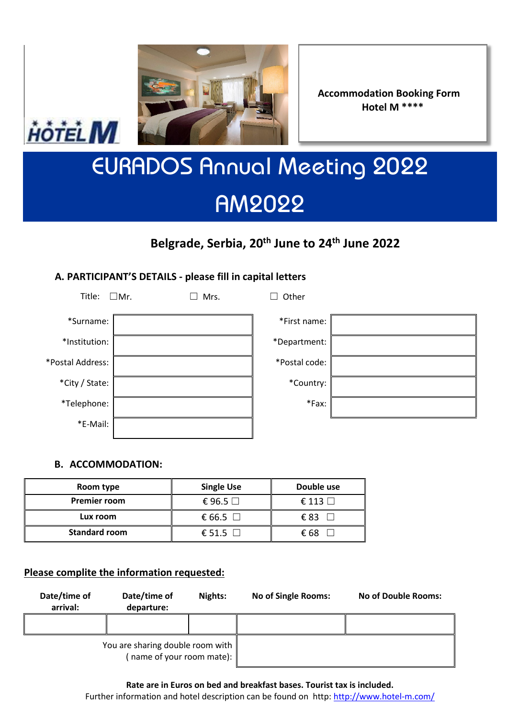

**Accommodation Booking Form Hotel M \*\*\*\***

# EURADOS Annual Meeting 2022 AM2022

# **Belgrade, Serbia, 20th June to 24th June 2022**

# **A. PARTICIPANT'S DETAILS - please fill in capital letters**

| Title:           | $\square$ Mr. | Mrs. | Other         |
|------------------|---------------|------|---------------|
| *Surname:        |               |      | *First name:  |
| *Institution:    |               |      | *Department:  |
| *Postal Address: |               |      | *Postal code: |
| *City / State:   |               |      | *Country:     |
| *Telephone:      |               |      | *Fax:         |
| *E-Mail:         |               |      |               |

| *First name:  |  |
|---------------|--|
| *Department:  |  |
| *Postal code: |  |
| *Country:     |  |
| *Fax:         |  |

## **B. ACCOMMODATION:**

HÔTEL M

| Room type           | <b>Single Use</b> | Double use       |  |  |
|---------------------|-------------------|------------------|--|--|
| <b>Premier room</b> | € 96.5 $□$        | $\in$ 113 $\Box$ |  |  |
| Lux room            | € 66.5 $\Box$     | €83              |  |  |
| Standard room       | € 51.5 $\Box$     | € 68             |  |  |

#### **Please complite the information requested:**

| Date/time of<br>arrival:                                      | Date/time of<br>departure: | Nights: | <b>No of Single Rooms:</b> | No of Double Rooms: |  |
|---------------------------------------------------------------|----------------------------|---------|----------------------------|---------------------|--|
|                                                               |                            |         |                            |                     |  |
| You are sharing double room with<br>(name of your room mate): |                            |         |                            |                     |  |

**Rate are in Euros on bed and breakfast bases. Tourist tax is included.** Further information and hotel description can be found on http: <http://www.hotel-m.com/>